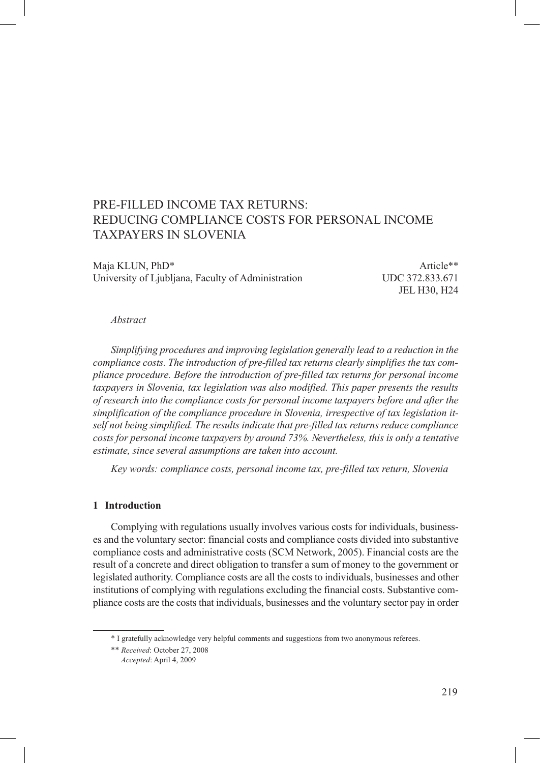# PRE-FILLED INCOME TAX RETURNS: REDUCING COMPLIANCE COSTS FOR PERSONAL INCOME TAXPAYERS IN SLOVENIA

Maja KLUN, PhD\* Article\*\* University of Ljubljana, Faculty of Administration UDC 372.833.671

JEL H30, H24

#### *Abstract*

*Simplifying procedures and improving legislation generally lead to a reduction in the compliance costs. The introduction of pre-filled tax returns clearly simplifies the tax compliance procedure. Before the introduction of pre-filled tax returns for personal income taxpayers in Slovenia, tax legislation was also modified. This paper presents the results of research into the compliance costs for personal income taxpayers before and after the simplification of the compliance procedure in Slovenia, irrespective of tax legislation itself not being simplified. The results indicate that pre-filled tax returns reduce compliance costs for personal income taxpayers by around 73%. Nevertheless, this is only a tentative estimate, since several assumptions are taken into account.* 

*Key words: compliance costs, personal income tax, pre-filled tax return, Slovenia*

# **1 Introduction**

Complying with regulations usually involves various costs for individuals, businesses and the voluntary sector: financial costs and compliance costs divided into substantive compliance costs and administrative costs (SCM Network, 2005). Financial costs are the result of a concrete and direct obligation to transfer a sum of money to the government or legislated authority. Compliance costs are all the costs to individuals, businesses and other institutions of complying with regulations excluding the financial costs. Substantive compliance costs are the costs that individuals, businesses and the voluntary sector pay in order

<sup>\*</sup> I gratefully acknowledge very helpful comments and suggestions from two anonymous referees.

<sup>\*\*</sup> *Received*: October 27, 2008

<sup>\*\*</sup> *Accepted*: April 4, 2009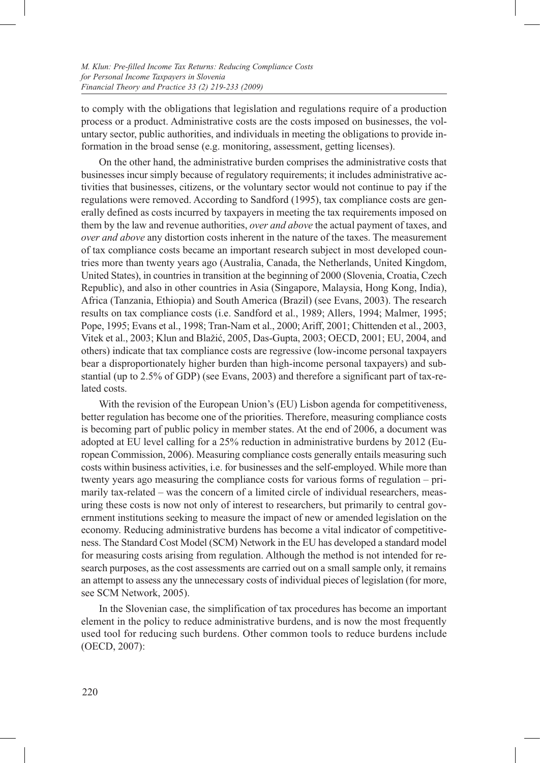to comply with the obligations that legislation and regulations require of a production process or a product. Administrative costs are the costs imposed on businesses, the voluntary sector, public authorities, and individuals in meeting the obligations to provide information in the broad sense (e.g. monitoring, assessment, getting licenses).

On the other hand, the administrative burden comprises the administrative costs that businesses incur simply because of regulatory requirements; it includes administrative activities that businesses, citizens, or the voluntary sector would not continue to pay if the regulations were removed. According to Sandford (1995), tax compliance costs are generally defined as costs incurred by taxpayers in meeting the tax requirements imposed on them by the law and revenue authorities, *over and above* the actual payment of taxes, and *over and above* any distortion costs inherent in the nature of the taxes. The measurement of tax compliance costs became an important research subject in most developed countries more than twenty years ago (Australia, Canada, the Netherlands, United Kingdom, United States), in countries in transition at the beginning of 2000 (Slovenia, Croatia, Czech Republic), and also in other countries in Asia (Singapore, Malaysia, Hong Kong, India), Africa (Tanzania, Ethiopia) and South America (Brazil) (see Evans, 2003). The research results on tax compliance costs (i.e. Sandford et al., 1989; Allers, 1994; Malmer, 1995; Pope, 1995; Evans et al., 1998; Tran-Nam et al., 2000; Ariff, 2001; Chittenden et al., 2003, Vitek et al., 2003; Klun and Blažić, 2005, Das-Gupta, 2003; OECD, 2001; EU, 2004, and others) indicate that tax compliance costs are regressive (low-income personal taxpayers bear a disproportionately higher burden than high-income personal taxpayers) and substantial (up to 2.5% of GDP) (see Evans, 2003) and therefore a significant part of tax-related costs.

With the revision of the European Union's (EU) Lisbon agenda for competitiveness, better regulation has become one of the priorities. Therefore, measuring compliance costs is becoming part of public policy in member states. At the end of 2006, a document was adopted at EU level calling for a 25% reduction in administrative burdens by 2012 (European Commission, 2006). Measuring compliance costs generally entails measuring such costs within business activities, i.e. for businesses and the self-employed. While more than twenty years ago measuring the compliance costs for various forms of regulation – primarily tax-related – was the concern of a limited circle of individual researchers, measuring these costs is now not only of interest to researchers, but primarily to central government institutions seeking to measure the impact of new or amended legislation on the economy. Reducing administrative burdens has become a vital indicator of competitiveness. The Standard Cost Model (SCM) Network in the EU has developed a standard model for measuring costs arising from regulation. Although the method is not intended for research purposes, as the cost assessments are carried out on a small sample only, it remains an attempt to assess any the unnecessary costs of individual pieces of legislation (for more, see SCM Network, 2005).

In the Slovenian case, the simplification of tax procedures has become an important element in the policy to reduce administrative burdens, and is now the most frequently used tool for reducing such burdens. Other common tools to reduce burdens include (OECD, 2007):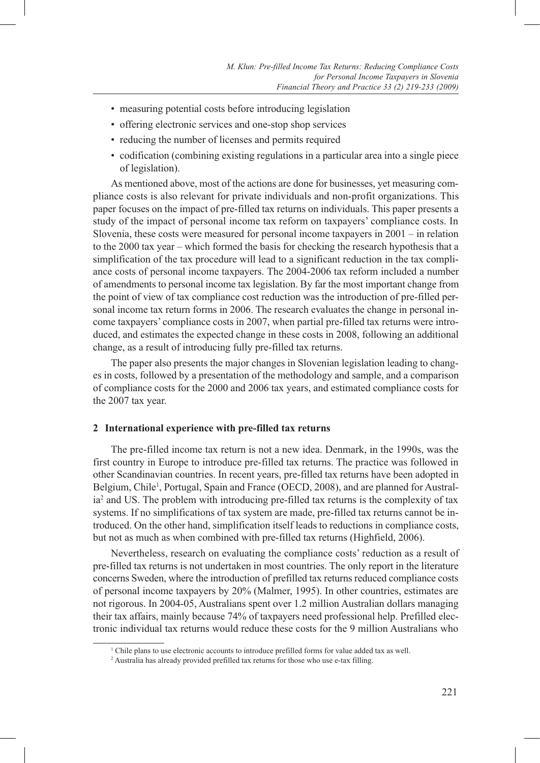- measuring potential costs before introducing legislation
- • offering electronic services and one-stop shop services
- reducing the number of licenses and permits required
- codification (combining existing regulations in a particular area into a single piece of legislation).

As mentioned above, most of the actions are done for businesses, yet measuring compliance costs is also relevant for private individuals and non-profit organizations. This paper focuses on the impact of pre-filled tax returns on individuals. This paper presents a study of the impact of personal income tax reform on taxpayers' compliance costs. In Slovenia, these costs were measured for personal income taxpayers in 2001 – in relation to the 2000 tax year – which formed the basis for checking the research hypothesis that a simplification of the tax procedure will lead to a significant reduction in the tax compliance costs of personal income taxpayers. The 2004-2006 tax reform included a number of amendments to personal income tax legislation. By far the most important change from the point of view of tax compliance cost reduction was the introduction of pre-filled personal income tax return forms in 2006. The research evaluates the change in personal income taxpayers' compliance costs in 2007, when partial pre-filled tax returns were introduced, and estimates the expected change in these costs in 2008, following an additional change, as a result of introducing fully pre-filled tax returns.

The paper also presents the major changes in Slovenian legislation leading to changes in costs, followed by a presentation of the methodology and sample, and a comparison of compliance costs for the 2000 and 2006 tax years, and estimated compliance costs for the 2007 tax year.

# **2 International experience with pre-filled tax returns**

The pre-filled income tax return is not a new idea. Denmark, in the 1990s, was the first country in Europe to introduce pre-filled tax returns. The practice was followed in other Scandinavian countries. In recent years, pre-filled tax returns have been adopted in Belgium, Chile<sup>1</sup>, Portugal, Spain and France (OECD, 2008), and are planned for Australia<sup>2</sup> and US. The problem with introducing pre-filled tax returns is the complexity of tax systems. If no simplifications of tax system are made, pre-filled tax returns cannot be introduced. On the other hand, simplification itself leads to reductions in compliance costs, but not as much as when combined with pre-filled tax returns (Highfield, 2006).

Nevertheless, research on evaluating the compliance costs' reduction as a result of pre-filled tax returns is not undertaken in most countries. The only report in the literature concerns Sweden, where the introduction of prefilled tax returns reduced compliance costs of personal income taxpayers by 20% (Malmer, 1995). In other countries, estimates are not rigorous. In 2004-05, Australians spent over 1.2 million Australian dollars managing their tax affairs, mainly because 74% of taxpayers need professional help. Prefilled electronic individual tax returns would reduce these costs for the 9 million Australians who

<sup>1</sup> Chile plans to use electronic accounts to introduce prefilled forms for value added tax as well.

<sup>2</sup> Australia has already provided prefilled tax returns for those who use e-tax filling.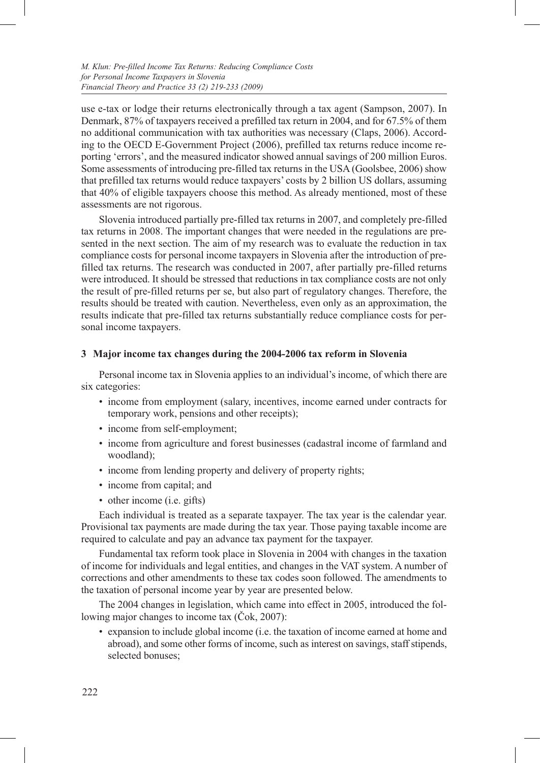use e-tax or lodge their returns electronically through a tax agent (Sampson, 2007). In Denmark, 87% of taxpayers received a prefilled tax return in 2004, and for 67.5% of them no additional communication with tax authorities was necessary (Claps, 2006). According to the OECD E-Government Project (2006), prefilled tax returns reduce income reporting 'errors', and the measured indicator showed annual savings of 200 million Euros. Some assessments of introducing pre-filled tax returns in the USA (Goolsbee, 2006) show that prefilled tax returns would reduce taxpayers' costs by 2 billion US dollars, assuming that 40% of eligible taxpayers choose this method. As already mentioned, most of these assessments are not rigorous.

Slovenia introduced partially pre-filled tax returns in 2007, and completely pre-filled tax returns in 2008. The important changes that were needed in the regulations are presented in the next section. The aim of my research was to evaluate the reduction in tax compliance costs for personal income taxpayers in Slovenia after the introduction of prefilled tax returns. The research was conducted in 2007, after partially pre-filled returns were introduced. It should be stressed that reductions in tax compliance costs are not only the result of pre-filled returns per se, but also part of regulatory changes. Therefore, the results should be treated with caution. Nevertheless, even only as an approximation, the results indicate that pre-filled tax returns substantially reduce compliance costs for personal income taxpayers.

# **3 Major income tax changes during the 2004-2006 tax reform in Slovenia**

Personal income tax in Slovenia applies to an individual's income, of which there are six categories:

- income from employment (salary, incentives, income earned under contracts for temporary work, pensions and other receipts);
- income from self-employment;
- income from agriculture and forest businesses (cadastral income of farmland and woodland);
- income from lending property and delivery of property rights;
- income from capital; and
- other income (i.e. gifts)

Each individual is treated as a separate taxpayer. The tax year is the calendar year. Provisional tax payments are made during the tax year. Those paying taxable income are required to calculate and pay an advance tax payment for the taxpayer.

Fundamental tax reform took place in Slovenia in 2004 with changes in the taxation of income for individuals and legal entities, and changes in the VAT system. A number of corrections and other amendments to these tax codes soon followed. The amendments to the taxation of personal income year by year are presented below.

The 2004 changes in legislation, which came into effect in 2005, introduced the following major changes to income tax (Čok, 2007):

• expansion to include global income (i.e. the taxation of income earned at home and abroad), and some other forms of income, such as interest on savings, staff stipends, selected bonuses;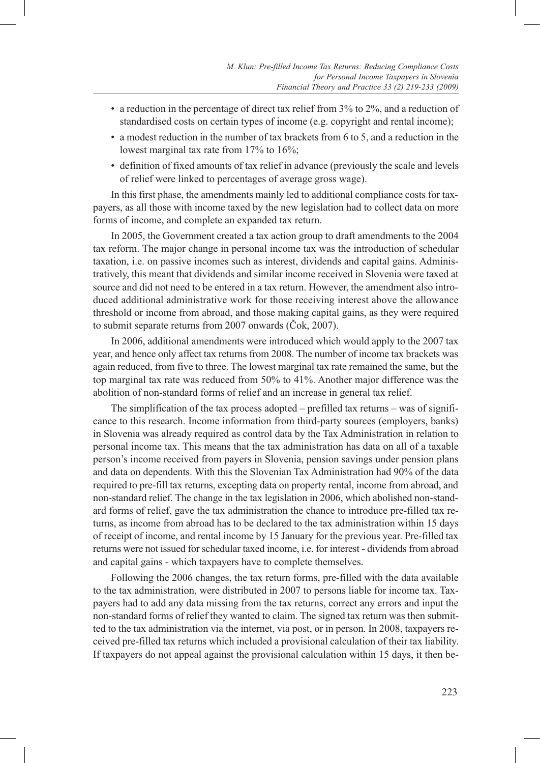- a reduction in the percentage of direct tax relief from 3% to 2%, and a reduction of standardised costs on certain types of income (e.g. copyright and rental income);
- a modest reduction in the number of tax brackets from 6 to 5, and a reduction in the lowest marginal tax rate from 17% to 16%;
- • definition of fixed amounts of tax relief in advance (previously the scale and levels of relief were linked to percentages of average gross wage).

In this first phase, the amendments mainly led to additional compliance costs for taxpayers, as all those with income taxed by the new legislation had to collect data on more forms of income, and complete an expanded tax return.

In 2005, the Government created a tax action group to draft amendments to the 2004 tax reform. The major change in personal income tax was the introduction of schedular taxation, i.e. on passive incomes such as interest, dividends and capital gains. Administratively, this meant that dividends and similar income received in Slovenia were taxed at source and did not need to be entered in a tax return. However, the amendment also introduced additional administrative work for those receiving interest above the allowance threshold or income from abroad, and those making capital gains, as they were required to submit separate returns from 2007 onwards (Čok, 2007).

In 2006, additional amendments were introduced which would apply to the 2007 tax year, and hence only affect tax returns from 2008. The number of income tax brackets was again reduced, from five to three. The lowest marginal tax rate remained the same, but the top marginal tax rate was reduced from 50% to 41%. Another major difference was the abolition of non-standard forms of relief and an increase in general tax relief.

The simplification of the tax process adopted – prefilled tax returns – was of significance to this research. Income information from third-party sources (employers, banks) in Slovenia was already required as control data by the Tax Administration in relation to personal income tax. This means that the tax administration has data on all of a taxable person's income received from payers in Slovenia, pension savings under pension plans and data on dependents. With this the Slovenian Tax Administration had 90% of the data required to pre-fill tax returns, excepting data on property rental, income from abroad, and non-standard relief. The change in the tax legislation in 2006, which abolished non-standard forms of relief, gave the tax administration the chance to introduce pre-filled tax returns, as income from abroad has to be declared to the tax administration within 15 days of receipt of income, and rental income by 15 January for the previous year. Pre-filled tax returns were not issued for schedular taxed income, i.e. for interest - dividends from abroad and capital gains - which taxpayers have to complete themselves.

Following the 2006 changes, the tax return forms, pre-filled with the data available to the tax administration, were distributed in 2007 to persons liable for income tax. Taxpayers had to add any data missing from the tax returns, correct any errors and input the non-standard forms of relief they wanted to claim. The signed tax return was then submitted to the tax administration via the internet, via post, or in person. In 2008, taxpayers received pre-filled tax returns which included a provisional calculation of their tax liability. If taxpayers do not appeal against the provisional calculation within 15 days, it then be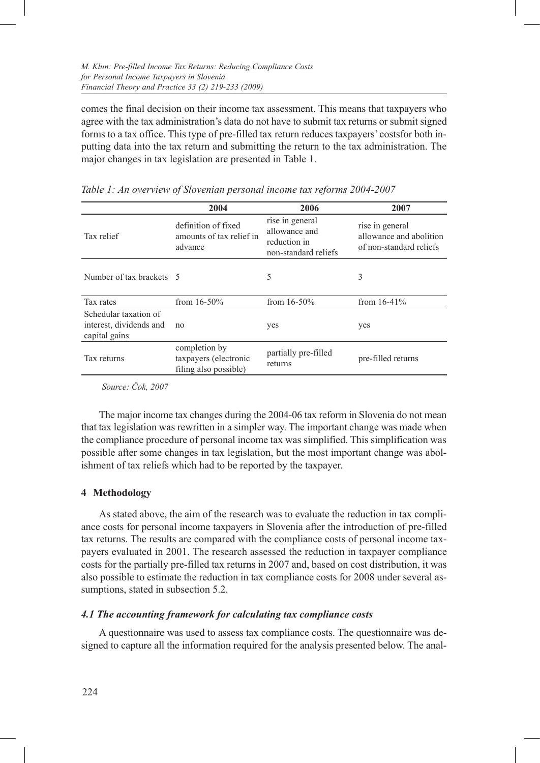comes the final decision on their income tax assessment. This means that taxpayers who agree with the tax administration's data do not have to submit tax returns or submit signed forms to a tax office. This type of pre-filled tax return reduces taxpayers' costsfor both inputting data into the tax return and submitting the return to the tax administration. The major changes in tax legislation are presented in Table 1.

|                                                                   | 2004                                                            | 2006                                                                     | 2007                                                                  |
|-------------------------------------------------------------------|-----------------------------------------------------------------|--------------------------------------------------------------------------|-----------------------------------------------------------------------|
| Tax relief                                                        | definition of fixed<br>amounts of tax relief in<br>advance      | rise in general<br>allowance and<br>reduction in<br>non-standard reliefs | rise in general<br>allowance and abolition<br>of non-standard reliefs |
| Number of tax brackets 5                                          |                                                                 | 5                                                                        | 3                                                                     |
| Tax rates                                                         | from $16-50%$                                                   | from $16-50%$                                                            | from $16-41%$                                                         |
| Schedular taxation of<br>interest, dividends and<br>capital gains | no                                                              | yes                                                                      | yes                                                                   |
| Tax returns                                                       | completion by<br>taxpayers (electronic<br>filing also possible) | partially pre-filled<br>returns                                          | pre-filled returns                                                    |

*Table 1: An overview of Slovenian personal income tax reforms 2004-2007*

*Source: Čok, 2007*

The major income tax changes during the 2004-06 tax reform in Slovenia do not mean that tax legislation was rewritten in a simpler way. The important change was made when the compliance procedure of personal income tax was simplified. This simplification was possible after some changes in tax legislation, but the most important change was abolishment of tax reliefs which had to be reported by the taxpayer.

# **4 Methodology**

As stated above, the aim of the research was to evaluate the reduction in tax compliance costs for personal income taxpayers in Slovenia after the introduction of pre-filled tax returns. The results are compared with the compliance costs of personal income taxpayers evaluated in 2001. The research assessed the reduction in taxpayer compliance costs for the partially pre-filled tax returns in 2007 and, based on cost distribution, it was also possible to estimate the reduction in tax compliance costs for 2008 under several assumptions, stated in subsection 5.2.

# *4.1 The accounting framework for calculating tax compliance costs*

A questionnaire was used to assess tax compliance costs. The questionnaire was designed to capture all the information required for the analysis presented below. The anal-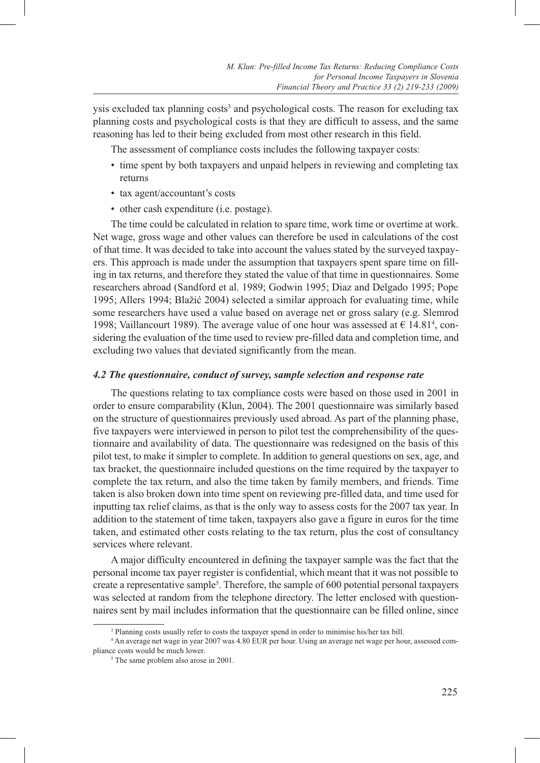ysis excluded tax planning costs<sup>3</sup> and psychological costs. The reason for excluding tax planning costs and psychological costs is that they are difficult to assess, and the same reasoning has led to their being excluded from most other research in this field.

The assessment of compliance costs includes the following taxpayer costs:

- time spent by both taxpayers and unpaid helpers in reviewing and completing tax returns
- tax agent/accountant's costs
- other cash expenditure (i.e. postage).

The time could be calculated in relation to spare time, work time or overtime at work. Net wage, gross wage and other values can therefore be used in calculations of the cost of that time. It was decided to take into account the values stated by the surveyed taxpayers. This approach is made under the assumption that taxpayers spent spare time on filling in tax returns, and therefore they stated the value of that time in questionnaires. Some researchers abroad (Sandford et al. 1989; Godwin 1995; Diaz and Delgado 1995; Pope 1995; Allers 1994; Blažić 2004) selected a similar approach for evaluating time, while some researchers have used a value based on average net or gross salary (e.g. Slemrod 1998; Vaillancourt 1989). The average value of one hour was assessed at  $\epsilon$  14.81<sup>4</sup>, considering the evaluation of the time used to review pre-filled data and completion time, and excluding two values that deviated significantly from the mean.

### *4.2 The questionnaire, conduct of survey, sample selection and response rate*

The questions relating to tax compliance costs were based on those used in 2001 in order to ensure comparability (Klun, 2004). The 2001 questionnaire was similarly based on the structure of questionnaires previously used abroad. As part of the planning phase, five taxpayers were interviewed in person to pilot test the comprehensibility of the questionnaire and availability of data. The questionnaire was redesigned on the basis of this pilot test, to make it simpler to complete. In addition to general questions on sex, age, and tax bracket, the questionnaire included questions on the time required by the taxpayer to complete the tax return, and also the time taken by family members, and friends. Time taken is also broken down into time spent on reviewing pre-filled data, and time used for inputting tax relief claims, as that is the only way to assess costs for the 2007 tax year. In addition to the statement of time taken, taxpayers also gave a figure in euros for the time taken, and estimated other costs relating to the tax return, plus the cost of consultancy services where relevant.

A major difficulty encountered in defining the taxpayer sample was the fact that the personal income tax payer register is confidential, which meant that it was not possible to create a representative sample<sup>5</sup>. Therefore, the sample of 600 potential personal taxpayers was selected at random from the telephone directory. The letter enclosed with questionnaires sent by mail includes information that the questionnaire can be filled online, since

<sup>&</sup>lt;sup>3</sup> Planning costs usually refer to costs the taxpayer spend in order to minimise his/her tax bill.

<sup>4</sup> An average net wage in year 2007 was 4.80 EUR per hour. Using an average net wage per hour, assessed compliance costs would be much lower.

<sup>5</sup> The same problem also arose in 2001.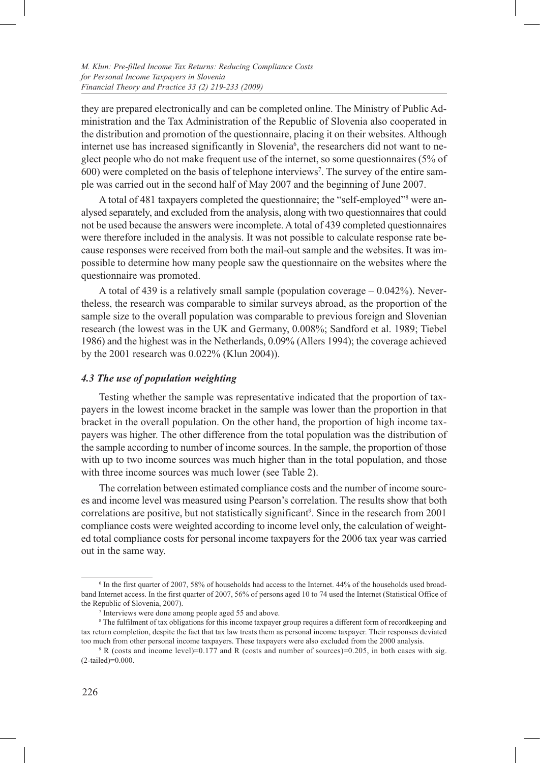they are prepared electronically and can be completed online. The Ministry of Public Administration and the Tax Administration of the Republic of Slovenia also cooperated in the distribution and promotion of the questionnaire, placing it on their websites. Although internet use has increased significantly in Slovenia<sup>6</sup>, the researchers did not want to neglect people who do not make frequent use of the internet, so some questionnaires (5% of 600) were completed on the basis of telephone interviews<sup>7</sup>. The survey of the entire sample was carried out in the second half of May 2007 and the beginning of June 2007.

A total of 481 taxpayers completed the questionnaire; the "self-employed"<sup>8</sup> were analysed separately, and excluded from the analysis, along with two questionnaires that could not be used because the answers were incomplete. A total of 439 completed questionnaires were therefore included in the analysis. It was not possible to calculate response rate because responses were received from both the mail-out sample and the websites. It was impossible to determine how many people saw the questionnaire on the websites where the questionnaire was promoted.

A total of 439 is a relatively small sample (population coverage – 0.042%). Nevertheless, the research was comparable to similar surveys abroad, as the proportion of the sample size to the overall population was comparable to previous foreign and Slovenian research (the lowest was in the UK and Germany, 0.008%; Sandford et al. 1989; Tiebel 1986) and the highest was in the Netherlands, 0.09% (Allers 1994); the coverage achieved by the 2001 research was 0.022% (Klun 2004)).

### *4.3 The use of population weighting*

Testing whether the sample was representative indicated that the proportion of taxpayers in the lowest income bracket in the sample was lower than the proportion in that bracket in the overall population. On the other hand, the proportion of high income taxpayers was higher. The other difference from the total population was the distribution of the sample according to number of income sources. In the sample, the proportion of those with up to two income sources was much higher than in the total population, and those with three income sources was much lower (see Table 2).

The correlation between estimated compliance costs and the number of income sources and income level was measured using Pearson's correlation. The results show that both correlations are positive, but not statistically significant<sup>9</sup>. Since in the research from 2001 compliance costs were weighted according to income level only, the calculation of weighted total compliance costs for personal income taxpayers for the 2006 tax year was carried out in the same way.

<sup>6</sup> In the first quarter of 2007, 58% of households had access to the Internet. 44% of the households used broadband Internet access. In the first quarter of 2007, 56% of persons aged 10 to 74 used the Internet (Statistical Office of the Republic of Slovenia, 2007).

<sup>7</sup> Interviews were done among people aged 55 and above.

<sup>8</sup> The fulfilment of tax obligations for this income taxpayer group requires a different form of recordkeeping and tax return completion, despite the fact that tax law treats them as personal income taxpayer. Their responses deviated too much from other personal income taxpayers. These taxpayers were also excluded from the 2000 analysis.

<sup>9</sup> R (costs and income level)=0.177 and R (costs and number of sources)=0.205, in both cases with sig. (2-tailed)=0.000.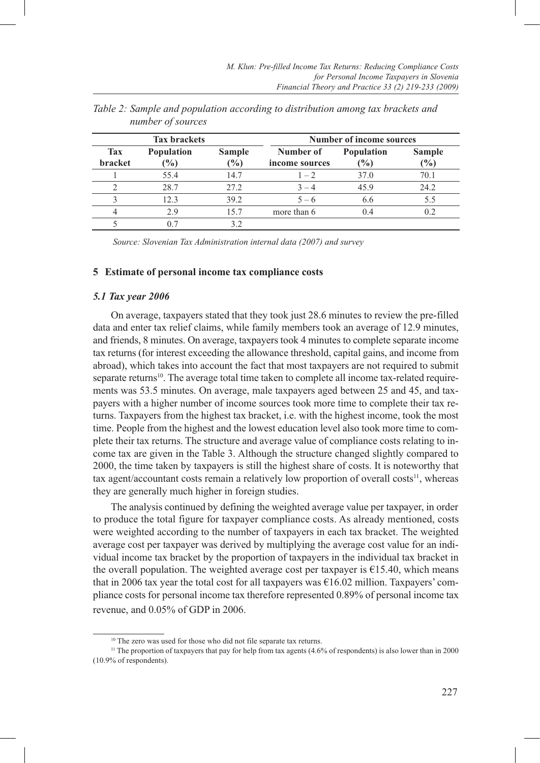| <b>Tax brackets</b>          |                                    |                                 | <b>Number of income sources</b> |                                    |               |
|------------------------------|------------------------------------|---------------------------------|---------------------------------|------------------------------------|---------------|
| <b>Tax</b><br><b>bracket</b> | <b>Population</b><br>$\frac{1}{2}$ | <b>Sample</b><br>$\binom{0}{0}$ | Number of<br>income sources     | <b>Population</b><br>$\frac{1}{2}$ | Sample<br>(%) |
|                              | 55.4                               | 14.7                            | $1 - 2$                         | 37.0                               | 70.1          |
| $\mathcal{P}$                | 28.7                               | 27.2                            | $3 - 4$                         | 45.9                               | 24.2          |
| 3                            | 12.3                               | 39.2                            | $5 - 6$                         | 6.6                                | 5.5           |
| 4                            | 2.9                                | 15.7                            | more than 6                     | 0.4                                | 0.2           |
|                              |                                    | 3.2                             |                                 |                                    |               |

*Table 2: Sample and population according to distribution among tax brackets and number of sources* 

*Source: Slovenian Tax Administration internal data (2007) and survey*

#### **5 Estimate of personal income tax compliance costs**

#### *5.1 Tax year 2006*

On average, taxpayers stated that they took just 28.6 minutes to review the pre-filled data and enter tax relief claims, while family members took an average of 12.9 minutes, and friends, 8 minutes. On average, taxpayers took 4 minutes to complete separate income tax returns (for interest exceeding the allowance threshold, capital gains, and income from abroad), which takes into account the fact that most taxpayers are not required to submit separate returns<sup>10</sup>. The average total time taken to complete all income tax-related requirements was 53.5 minutes. On average, male taxpayers aged between 25 and 45, and taxpayers with a higher number of income sources took more time to complete their tax returns. Taxpayers from the highest tax bracket, i.e. with the highest income, took the most time. People from the highest and the lowest education level also took more time to complete their tax returns. The structure and average value of compliance costs relating to income tax are given in the Table 3. Although the structure changed slightly compared to 2000, the time taken by taxpayers is still the highest share of costs. It is noteworthy that tax agent/accountant costs remain a relatively low proportion of overall costs<sup>11</sup>, whereas they are generally much higher in foreign studies.

The analysis continued by defining the weighted average value per taxpayer, in order to produce the total figure for taxpayer compliance costs. As already mentioned, costs were weighted according to the number of taxpayers in each tax bracket. The weighted average cost per taxpayer was derived by multiplying the average cost value for an individual income tax bracket by the proportion of taxpayers in the individual tax bracket in the overall population. The weighted average cost per taxpayer is  $€15.40$ , which means that in 2006 tax year the total cost for all taxpayers was  $\epsilon$ 16.02 million. Taxpayers' compliance costs for personal income tax therefore represented 0.89% of personal income tax revenue, and 0.05% of GDP in 2006.

<sup>10</sup> The zero was used for those who did not file separate tax returns.

<sup>&</sup>lt;sup>11</sup> The proportion of taxpayers that pay for help from tax agents (4.6% of respondents) is also lower than in 2000 (10.9% of respondents).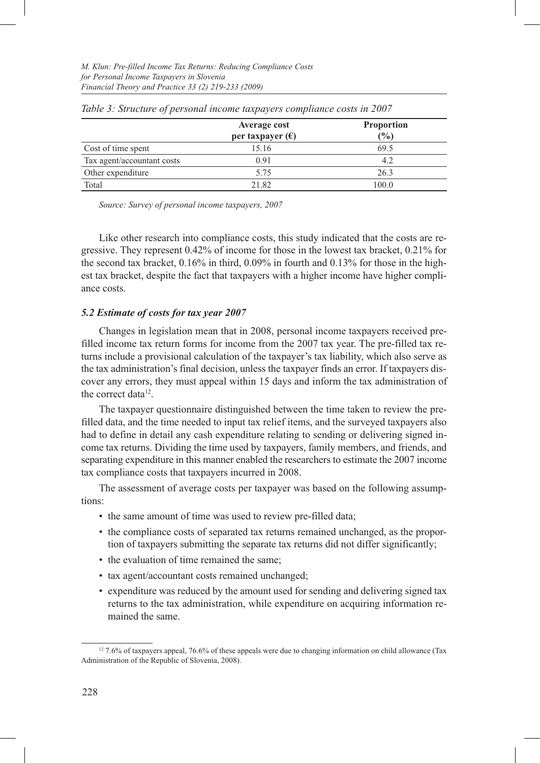|                            | Average cost              | <b>Proportion</b> |  |
|----------------------------|---------------------------|-------------------|--|
|                            | per taxpayer $(\epsilon)$ | $\binom{0}{0}$    |  |
| Cost of time spent         | 15.16                     | 69.5              |  |
| Tax agent/accountant costs | 0.91                      | 4.2               |  |
| Other expenditure          | 5.75                      | 26.3              |  |
| Total                      | 21.82                     | 100.0             |  |

*Table 3: Structure of personal income taxpayers compliance costs in 2007*

*Source: Survey of personal income taxpayers, 2007*

Like other research into compliance costs, this study indicated that the costs are regressive. They represent 0.42% of income for those in the lowest tax bracket, 0.21% for the second tax bracket, 0.16% in third, 0.09% in fourth and 0.13% for those in the highest tax bracket, despite the fact that taxpayers with a higher income have higher compliance costs.

# *5.2 Estimate of costs for tax year 2007*

Changes in legislation mean that in 2008, personal income taxpayers received prefilled income tax return forms for income from the 2007 tax year. The pre-filled tax returns include a provisional calculation of the taxpayer's tax liability, which also serve as the tax administration's final decision, unless the taxpayer finds an error. If taxpayers discover any errors, they must appeal within 15 days and inform the tax administration of the correct data<sup>12</sup>.

The taxpayer questionnaire distinguished between the time taken to review the prefilled data, and the time needed to input tax relief items, and the surveyed taxpayers also had to define in detail any cash expenditure relating to sending or delivering signed income tax returns. Dividing the time used by taxpayers, family members, and friends, and separating expenditure in this manner enabled the researchers to estimate the 2007 income tax compliance costs that taxpayers incurred in 2008.

The assessment of average costs per taxpayer was based on the following assumptions:

- the same amount of time was used to review pre-filled data;
- the compliance costs of separated tax returns remained unchanged, as the proportion of taxpayers submitting the separate tax returns did not differ significantly;
- the evaluation of time remained the same;
- tax agent/accountant costs remained unchanged;
- expenditure was reduced by the amount used for sending and delivering signed tax returns to the tax administration, while expenditure on acquiring information remained the same.

<sup>12 7.6%</sup> of taxpayers appeal, 76.6% of these appeals were due to changing information on child allowance (Tax Administration of the Republic of Slovenia, 2008).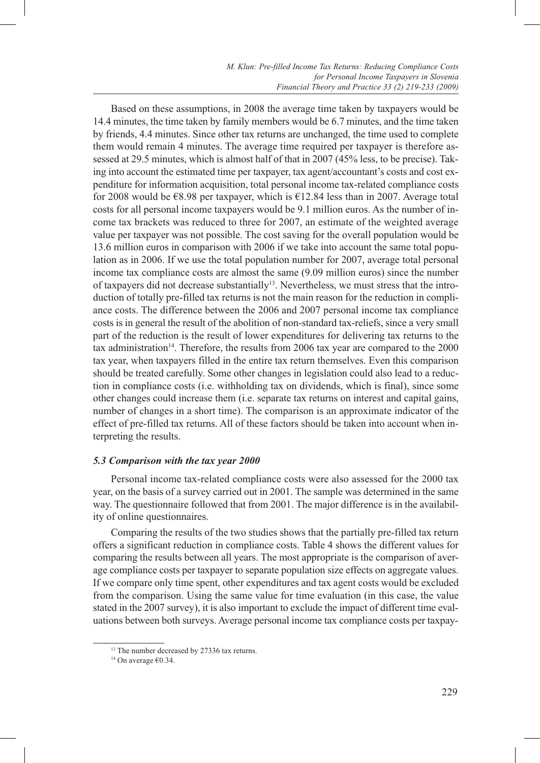Based on these assumptions, in 2008 the average time taken by taxpayers would be 14.4 minutes, the time taken by family members would be 6.7 minutes, and the time taken by friends, 4.4 minutes. Since other tax returns are unchanged, the time used to complete them would remain 4 minutes. The average time required per taxpayer is therefore assessed at 29.5 minutes, which is almost half of that in 2007 (45% less, to be precise). Taking into account the estimated time per taxpayer, tax agent/accountant's costs and cost expenditure for information acquisition, total personal income tax-related compliance costs for 2008 would be €8.98 per taxpayer, which is €12.84 less than in 2007. Average total costs for all personal income taxpayers would be 9.1 million euros. As the number of income tax brackets was reduced to three for 2007, an estimate of the weighted average value per taxpayer was not possible. The cost saving for the overall population would be 13.6 million euros in comparison with 2006 if we take into account the same total population as in 2006. If we use the total population number for 2007, average total personal income tax compliance costs are almost the same (9.09 million euros) since the number of taxpayers did not decrease substantially<sup>13</sup>. Nevertheless, we must stress that the introduction of totally pre-filled tax returns is not the main reason for the reduction in compliance costs. The difference between the 2006 and 2007 personal income tax compliance costs is in general the result of the abolition of non-standard tax-reliefs, since a very small part of the reduction is the result of lower expenditures for delivering tax returns to the tax administration<sup>14</sup>. Therefore, the results from 2006 tax year are compared to the 2000 tax year, when taxpayers filled in the entire tax return themselves. Even this comparison should be treated carefully. Some other changes in legislation could also lead to a reduction in compliance costs (i.e. withholding tax on dividends, which is final), since some other changes could increase them (i.e. separate tax returns on interest and capital gains, number of changes in a short time). The comparison is an approximate indicator of the effect of pre-filled tax returns. All of these factors should be taken into account when interpreting the results.

### *5.3 Comparison with the tax year 2000*

Personal income tax-related compliance costs were also assessed for the 2000 tax year, on the basis of a survey carried out in 2001. The sample was determined in the same way. The questionnaire followed that from 2001. The major difference is in the availability of online questionnaires.

Comparing the results of the two studies shows that the partially pre-filled tax return offers a significant reduction in compliance costs. Table 4 shows the different values for comparing the results between all years. The most appropriate is the comparison of average compliance costs per taxpayer to separate population size effects on aggregate values. If we compare only time spent, other expenditures and tax agent costs would be excluded from the comparison. Using the same value for time evaluation (in this case, the value stated in the 2007 survey), it is also important to exclude the impact of different time evaluations between both surveys. Average personal income tax compliance costs per taxpay-

<sup>&</sup>lt;sup>13</sup> The number decreased by 27336 tax returns.

<sup>14</sup> On average €0.34.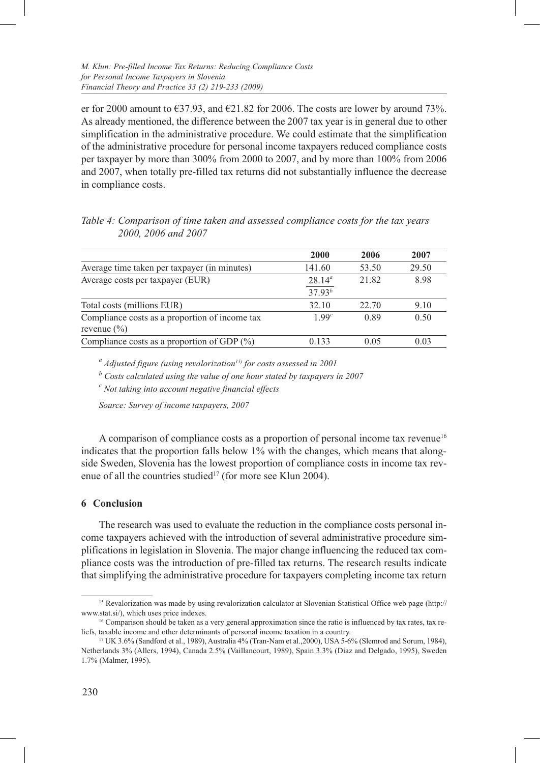er for 2000 amount to  $\epsilon$ 37.93, and  $\epsilon$ 21.82 for 2006. The costs are lower by around 73%. As already mentioned, the difference between the 2007 tax year is in general due to other simplification in the administrative procedure. We could estimate that the simplification of the administrative procedure for personal income taxpayers reduced compliance costs per taxpayer by more than 300% from 2000 to 2007, and by more than 100% from 2006 and 2007, when totally pre-filled tax returns did not substantially influence the decrease in compliance costs.

**2000 2006 2007** Average time taken per taxpayer (in minutes) 141.60 53.50 29.50 Average costs per taxpayer (EUR) 28.14<sup>a</sup> 21.82 8.98 37.93*<sup>b</sup>* Total costs (millions EUR) 32.10 22.70 9.10 Compliance costs as a proportion of income tax revenue (%) 1.99*<sup>c</sup>* 0.89 0.50 Compliance costs as a proportion of GDP  $(\%)$  0.133 0.05 0.03

*Table 4: Comparison of time taken and assessed compliance costs for the tax years 2000, 2006 and 2007*

*a Adjusted figure (using revalorization15) for costs assessed in 2001*

*<sup>b</sup> Costs calculated using the value of one hour stated by taxpayers in 2007*

*c Not taking into account negative financial effects*

*Source: Survey of income taxpayers, 2007*

A comparison of compliance costs as a proportion of personal income tax revenue<sup>16</sup> indicates that the proportion falls below 1% with the changes, which means that alongside Sweden, Slovenia has the lowest proportion of compliance costs in income tax revenue of all the countries studied<sup>17</sup> (for more see Klun 2004).

#### **6 Conclusion**

The research was used to evaluate the reduction in the compliance costs personal income taxpayers achieved with the introduction of several administrative procedure simplifications in legislation in Slovenia. The major change influencing the reduced tax compliance costs was the introduction of pre-filled tax returns. The research results indicate that simplifying the administrative procedure for taxpayers completing income tax return

<sup>15</sup> Revalorization was made by using revalorization calculator at Slovenian Statistical Office web page (http:// www.stat.si/), which uses price indexes.

<sup>&</sup>lt;sup>16</sup> Comparison should be taken as a very general approximation since the ratio is influenced by tax rates, tax reliefs, taxable income and other determinants of personal income taxation in a country.<br><sup>17</sup> UK 3.6% (Sandford et al., 1989), Australia 4% (Tran-Nam et al., 2000), USA 5-6% (Slemrod and Sorum, 1984),

Netherlands 3% (Allers, 1994), Canada 2.5% (Vaillancourt, 1989), Spain 3.3% (Diaz and Delgado, 1995), Sweden 1.7% (Malmer, 1995).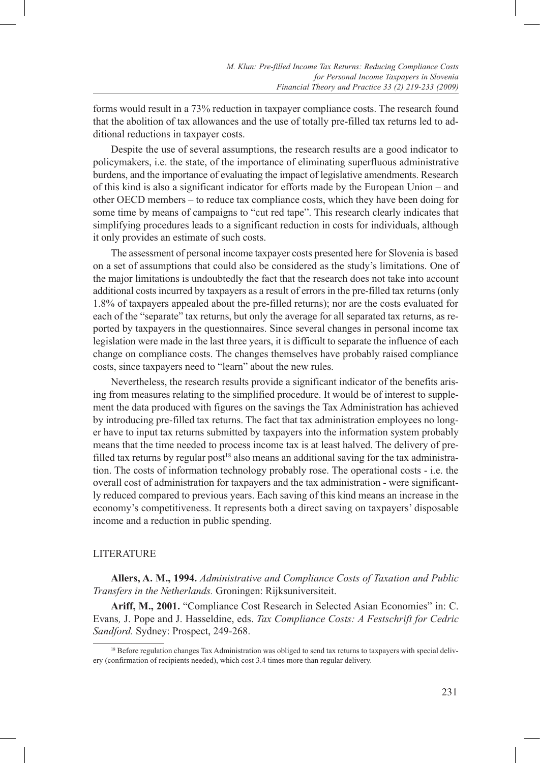forms would result in a 73% reduction in taxpayer compliance costs. The research found that the abolition of tax allowances and the use of totally pre-filled tax returns led to additional reductions in taxpayer costs.

Despite the use of several assumptions, the research results are a good indicator to policymakers, i.e. the state, of the importance of eliminating superfluous administrative burdens, and the importance of evaluating the impact of legislative amendments. Research of this kind is also a significant indicator for efforts made by the European Union – and other OECD members – to reduce tax compliance costs, which they have been doing for some time by means of campaigns to "cut red tape". This research clearly indicates that simplifying procedures leads to a significant reduction in costs for individuals, although it only provides an estimate of such costs.

The assessment of personal income taxpayer costs presented here for Slovenia is based on a set of assumptions that could also be considered as the study's limitations. One of the major limitations is undoubtedly the fact that the research does not take into account additional costs incurred by taxpayers as a result of errors in the pre-filled tax returns (only 1.8% of taxpayers appealed about the pre-filled returns); nor are the costs evaluated for each of the "separate" tax returns, but only the average for all separated tax returns, as reported by taxpayers in the questionnaires. Since several changes in personal income tax legislation were made in the last three years, it is difficult to separate the influence of each change on compliance costs. The changes themselves have probably raised compliance costs, since taxpayers need to "learn" about the new rules.

Nevertheless, the research results provide a significant indicator of the benefits arising from measures relating to the simplified procedure. It would be of interest to supplement the data produced with figures on the savings the Tax Administration has achieved by introducing pre-filled tax returns. The fact that tax administration employees no longer have to input tax returns submitted by taxpayers into the information system probably means that the time needed to process income tax is at least halved. The delivery of prefilled tax returns by regular post<sup>18</sup> also means an additional saving for the tax administration. The costs of information technology probably rose. The operational costs - i.e. the overall cost of administration for taxpayers and the tax administration - were significantly reduced compared to previous years. Each saving of this kind means an increase in the economy's competitiveness. It represents both a direct saving on taxpayers' disposable income and a reduction in public spending.

#### **LITERATURE**

**Allers, A. M., 1994.** *Administrative and Compliance Costs of Taxation and Public Transfers in the Netherlands.* Groningen: Rijksuniversiteit.

**Ariff, M., 2001.** "Compliance Cost Research in Selected Asian Economies" in: C. Evans*,* J. Pope and J. Hasseldine, eds. *Tax Compliance Costs: A Festschrift for Cedric Sandford.* Sydney: Prospect, 249-268.

<sup>&</sup>lt;sup>18</sup> Before regulation changes Tax Administration was obliged to send tax returns to taxpayers with special delivery (confirmation of recipients needed), which cost 3.4 times more than regular delivery.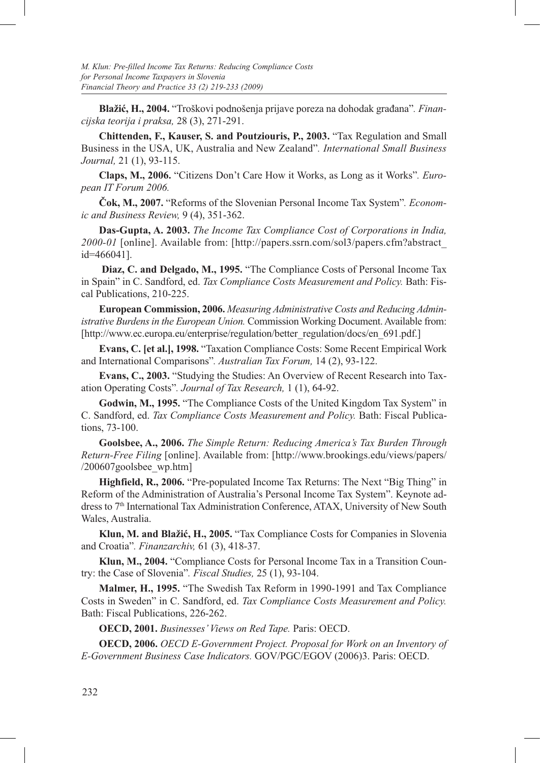**Blažić, H., 2004.** "Troškovi podnošenja prijave poreza na dohodak građana"*. Financijska teorija i praksa,* 28 (3), 271-291.

**Chittenden, F., Kauser, S. and Poutziouris, P., 2003.** "Tax Regulation and Small Business in the USA, UK, Australia and New Zealand"*. International Small Business Journal,* 21 (1), 93-115.

**Claps, M., 2006.** "Citizens Don't Care How it Works, as Long as it Works"*. European IT Forum 2006.*

**Čok, M., 2007.** "Reforms of the Slovenian Personal Income Tax System"*. Economic and Business Review,* 9 (4), 351-362.

**Das-Gupta, A. 2003.** *The Income Tax Compliance Cost of Corporations in India, 2000-01* [online]. Available from: [http://papers.ssrn.com/sol3/papers.cfm?abstract\_ id=466041].

 **Diaz, C. and Delgado, M., 1995.** "The Compliance Costs of Personal Income Tax in Spain" in C. Sandford, ed. *Tax Compliance Costs Measurement and Policy.* Bath: Fiscal Publications, 210-225.

**European Commission, 2006.** *Measuring Administrative Costs and Reducing Administrative Burdens in the European Union.* Commission Working Document. Available from: [http://www.ec.europa.eu/enterprise/regulation/better\_regulation/docs/en\_691.pdf.]

**Evans, C. [et al.], 1998.** "Taxation Compliance Costs: Some Recent Empirical Work and International Comparisons"*. Australian Tax Forum,* 14 (2), 93-122.

**Evans, C., 2003.** "Studying the Studies: An Overview of Recent Research into Taxation Operating Costs"*. Journal of Tax Research,* 1 (1), 64-92.

**Godwin, M., 1995.** "The Compliance Costs of the United Kingdom Tax System" in C. Sandford, ed. *Tax Compliance Costs Measurement and Policy.* Bath: Fiscal Publications, 73-100.

**Goolsbee, A., 2006.** *The Simple Return: Reducing America's Tax Burden Through Return-Free Filing* [online]. Available from: [http://www.brookings.edu/views/papers/ /200607goolsbee\_wp.htm]

**Highfield, R., 2006.** "Pre-populated Income Tax Returns: The Next "Big Thing" in Reform of the Administration of Australia's Personal Income Tax System". Keynote address to 7th International Tax Administration Conference, ATAX, University of New South Wales, Australia.

**Klun, M. and Blažić, H., 2005.** "Tax Compliance Costs for Companies in Slovenia and Croatia"*. Finanzarchiv,* 61 (3), 418-37.

**Klun, M., 2004.** "Compliance Costs for Personal Income Tax in a Transition Country: the Case of Slovenia"*. Fiscal Studies,* 25 (1), 93-104.

**Malmer, H., 1995.** "The Swedish Tax Reform in 1990-1991 and Tax Compliance Costs in Sweden" in C. Sandford, ed. *Tax Compliance Costs Measurement and Policy.* Bath: Fiscal Publications, 226-262.

**OECD, 2001.** *Businesses' Views on Red Tape.* Paris: OECD.

**OECD, 2006.** *OECD E-Government Project. Proposal for Work on an Inventory of E-Government Business Case Indicators.* GOV/PGC/EGOV (2006)3. Paris: OECD.